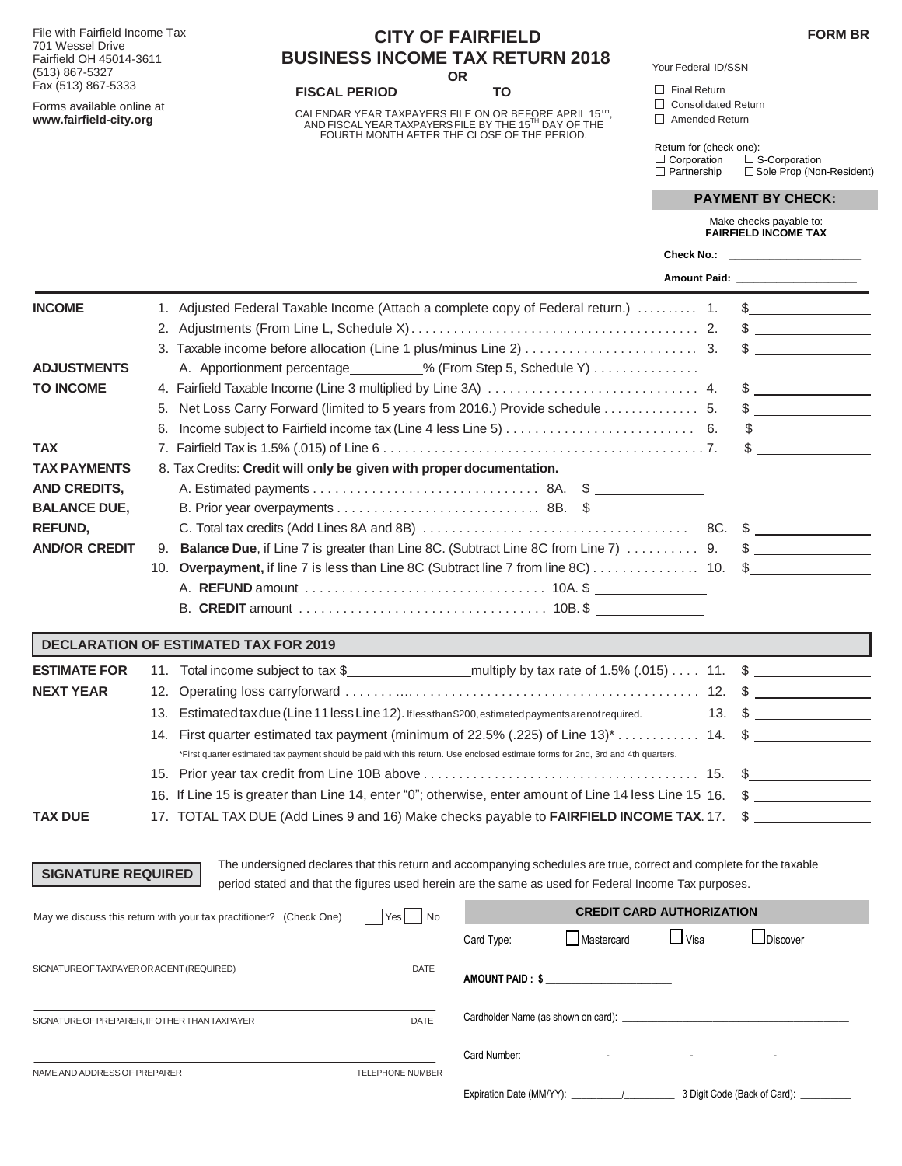**FORM BR**

File with Fairfield Income Tax 701 Wessel Drive Fairfield OH 45014-3611 (513) 867-5327 Fax (513) 867-5333

Forms available online at **[www.fairfield-city.org](http://www.fairfield-city.org/)**

## **CITY OF FAIRFIELD BUSINESS INCOME TAX RETURN 2018 OR**

**FISCAL PERIOD TO TO**  $\Box$  Final Return

CALENDAR YEAR TAXPAYERS FILE ON OR BEFORE APRIL 15",<br>AND FISCAL YEAR TAXPAYERS FILE BY THE 15<sup>TH</sup> DAY OF THE<br>FOURTH MONTH AFTER THE CLOSE OF THE PERIOD.

Your Federal ID Your Federal ID/SSN

Consolidated Return

Amended Return

 Return for (check one): **Corporation** □ S-Corporation Corporation 
<br>
□ Corporation 
□ S-Corporation<br>
□ Partnership □ Sole Prop (Non-Resident)

|                           |                                                                                                                                                                                                                             |  | Make checks payable to:<br><b>FAIRFIELD INCOME TAX</b>                                                                                                                                                                                                                                           |
|---------------------------|-----------------------------------------------------------------------------------------------------------------------------------------------------------------------------------------------------------------------------|--|--------------------------------------------------------------------------------------------------------------------------------------------------------------------------------------------------------------------------------------------------------------------------------------------------|
|                           |                                                                                                                                                                                                                             |  |                                                                                                                                                                                                                                                                                                  |
|                           |                                                                                                                                                                                                                             |  |                                                                                                                                                                                                                                                                                                  |
| <b>INCOME</b>             | 1. Adjusted Federal Taxable Income (Attach a complete copy of Federal return.)  1.                                                                                                                                          |  | $\frac{1}{2}$                                                                                                                                                                                                                                                                                    |
|                           |                                                                                                                                                                                                                             |  | $\frac{1}{2}$                                                                                                                                                                                                                                                                                    |
|                           |                                                                                                                                                                                                                             |  | $\sim$                                                                                                                                                                                                                                                                                           |
| <b>ADJUSTMENTS</b>        | A. Apportionment percentage ________% (From Step 5, Schedule Y)                                                                                                                                                             |  |                                                                                                                                                                                                                                                                                                  |
| <b>TO INCOME</b>          | 4. Fairfield Taxable Income (Line 3 multiplied by Line 3A)  4.                                                                                                                                                              |  | $\frac{1}{2}$                                                                                                                                                                                                                                                                                    |
|                           | 5. Net Loss Carry Forward (limited to 5 years from 2016.) Provide schedule 5.                                                                                                                                               |  | $\frac{1}{2}$                                                                                                                                                                                                                                                                                    |
|                           |                                                                                                                                                                                                                             |  | $\frac{1}{2}$                                                                                                                                                                                                                                                                                    |
| TAX                       |                                                                                                                                                                                                                             |  | $\mathbb S$                                                                                                                                                                                                                                                                                      |
| <b>TAX PAYMENTS</b>       | 8. Tax Credits: Credit will only be given with proper documentation.                                                                                                                                                        |  |                                                                                                                                                                                                                                                                                                  |
| <b>AND CREDITS,</b>       |                                                                                                                                                                                                                             |  |                                                                                                                                                                                                                                                                                                  |
| <b>BALANCE DUE,</b>       |                                                                                                                                                                                                                             |  |                                                                                                                                                                                                                                                                                                  |
| <b>REFUND,</b>            |                                                                                                                                                                                                                             |  | $\sim$                                                                                                                                                                                                                                                                                           |
| <b>AND/OR CREDIT</b>      | 9. Balance Due, if Line 7 is greater than Line 8C. (Subtract Line 8C from Line 7)  9.                                                                                                                                       |  | $\mathfrak{S}$                                                                                                                                                                                                                                                                                   |
|                           |                                                                                                                                                                                                                             |  |                                                                                                                                                                                                                                                                                                  |
|                           |                                                                                                                                                                                                                             |  |                                                                                                                                                                                                                                                                                                  |
|                           |                                                                                                                                                                                                                             |  |                                                                                                                                                                                                                                                                                                  |
|                           | <b>DECLARATION OF ESTIMATED TAX FOR 2019</b>                                                                                                                                                                                |  |                                                                                                                                                                                                                                                                                                  |
| <b>ESTIMATE FOR</b>       |                                                                                                                                                                                                                             |  |                                                                                                                                                                                                                                                                                                  |
| <b>NEXT YEAR</b>          |                                                                                                                                                                                                                             |  | $\mathcal{S}$                                                                                                                                                                                                                                                                                    |
|                           | 13. Estimated tax due (Line 11 less Line 12). If less than \$200, estimated payments are not required.                                                                                                                      |  | 13. $\frac{2}{1}$                                                                                                                                                                                                                                                                                |
|                           | 14. First quarter estimated tax payment (minimum of 22.5% (.225) of Line 13)* $\dots \dots \dots$ 14. $\frac{1}{2}$                                                                                                         |  |                                                                                                                                                                                                                                                                                                  |
|                           | *First quarter estimated tax payment should be paid with this return. Use enclosed estimate forms for 2nd, 3rd and 4th quarters.                                                                                            |  |                                                                                                                                                                                                                                                                                                  |
|                           |                                                                                                                                                                                                                             |  | $\mathbb{S}$ and $\mathbb{S}$ and $\mathbb{S}$ and $\mathbb{S}$ and $\mathbb{S}$ and $\mathbb{S}$ and $\mathbb{S}$ and $\mathbb{S}$ and $\mathbb{S}$ and $\mathbb{S}$ and $\mathbb{S}$ and $\mathbb{S}$ and $\mathbb{S}$ and $\mathbb{S}$ and $\mathbb{S}$ and $\mathbb{S}$ and $\mathbb{S}$ and |
|                           | 16. If Line 15 is greater than Line 14, enter "0"; otherwise, enter amount of Line 14 less Line 15 16.                                                                                                                      |  | $\frac{1}{2}$                                                                                                                                                                                                                                                                                    |
| TAX DUE                   | 17. TOTAL TAX DUE (Add Lines 9 and 16) Make checks payable to <b>FAIRFIELD INCOME TAX</b> . 17.                                                                                                                             |  |                                                                                                                                                                                                                                                                                                  |
|                           |                                                                                                                                                                                                                             |  |                                                                                                                                                                                                                                                                                                  |
| <b>SIGNATURE REQUIRED</b> | The undersigned declares that this return and accompanying schedules are true, correct and complete for the taxable<br>period stated and that the figures used herein are the same as used for Federal Income Tax purposes. |  |                                                                                                                                                                                                                                                                                                  |
|                           |                                                                                                                                                                                                                             |  |                                                                                                                                                                                                                                                                                                  |

| May we discuss this return with your tax practitioner? (Check One) | Yes<br>No               | <b>CREDIT CARD AUTHORIZATION</b>                                                                                                                                                                                               |                  |               |                                         |  |  |
|--------------------------------------------------------------------|-------------------------|--------------------------------------------------------------------------------------------------------------------------------------------------------------------------------------------------------------------------------|------------------|---------------|-----------------------------------------|--|--|
|                                                                    |                         | Card Type:                                                                                                                                                                                                                     | Mastercard       | $\sqcup$ Visa | $\Box$ Discover                         |  |  |
| SIGNATURE OF TAXPAYER OR AGENT (REQUIRED)                          | <b>DATE</b>             |                                                                                                                                                                                                                                | AMOUNT PAID : \$ |               |                                         |  |  |
| SIGNATURE OF PREPARER, IF OTHER THAN TAXPAYER                      | <b>DATE</b>             | Cardholder Name (as shown on card): example and cardinal control of the state of the state of the state of the state of the state of the state of the state of the state of the state of the state of the state of the state o |                  |               |                                         |  |  |
| NAME AND ADDRESS OF PREPARER                                       | <b>TELEPHONE NUMBER</b> |                                                                                                                                                                                                                                |                  |               |                                         |  |  |
|                                                                    |                         | Expiration Date (MM/YY):                                                                                                                                                                                                       |                  |               | 3 Digit Code (Back of Card): __________ |  |  |